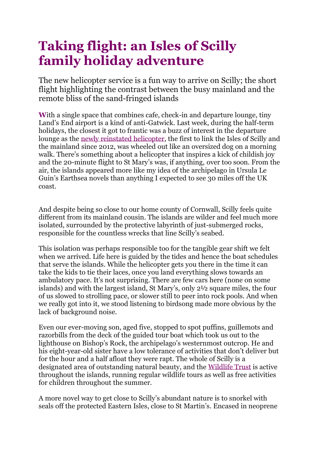# **Taking flight: an Isles of Scilly family holiday adventure**

The new helicopter service is a fun way to arrive on Scilly; the short flight highlighting the contrast between the busy mainland and the remote bliss of the sand-fringed islands

**W**ith a single space that combines cafe, check-in and departure lounge, tiny Land's End airport is a kind of anti-Gatwick. Last week, during the half-term holidays, the closest it got to frantic was a buzz of interest in the departure lounge as the [newly reinstated helicopter,](https://www.theguardian.com/uk-news/2018/may/21/isles-of-scilly-helicopter-service-resumes-st-marys-controversy) the first to link the Isles of Scilly and the mainland since 2012, was wheeled out like an oversized dog on a morning walk. There's something about a helicopter that inspires a kick of childish joy and the 20-minute flight to St Mary's was, if anything, over too soon. From the air, the islands appeared more like my idea of the archipelago in Ursula Le Guin's Earthsea novels than anything I expected to see 30 miles off the UK coast.

And despite being so close to our home county of Cornwall, Scilly feels quite different from its mainland cousin. The islands are wilder and feel much more isolated, surrounded by the protective labyrinth of just-submerged rocks, responsible for the countless wrecks that line Scilly's seabed.

This isolation was perhaps responsible too for the tangible gear shift we felt when we arrived. Life here is guided by the tides and hence the boat schedules that serve the islands. While the helicopter gets you there in the time it can take the kids to tie their laces, once you land everything slows towards an ambulatory pace. It's not surprising. There are few cars here (none on some islands) and with the largest island, St Mary's, only 2½ square miles, the four of us slowed to strolling pace, or slower still to peer into rock pools. And when we really got into it, we stood listening to birdsong made more obvious by the lack of background noise.

Even our ever-moving son, aged five, stopped to spot puffins, guillemots and razorbills from the deck of the guided tour boat which took us out to the lighthouse on Bishop's Rock, the archipelago's westernmost outcrop. He and his eight-year-old sister have a low tolerance of activities that don't deliver but for the hour and a half afloat they were rapt. The whole of Scilly is a designated area of outstanding natural beauty, and the [Wildlife Trust](https://www.ios-wildlifetrust.org.uk/) is active throughout the islands, running regular wildlife tours as well as free activities for children throughout the summer.

A more novel way to get close to Scilly's abundant nature is to snorkel with seals off the protected Eastern Isles, close to St Martin's. Encased in neoprene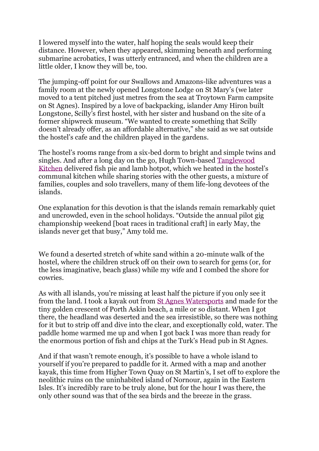I lowered myself into the water, half hoping the seals would keep their distance. However, when they appeared, skimming beneath and performing submarine acrobatics, I was utterly entranced, and when the children are a little older, I know they will be, too.

The jumping-off point for our Swallows and Amazons-like adventures was a family room at the newly opened Longstone Lodge on St Mary's (we later moved to a tent pitched just metres from the sea at Troytown Farm campsite on St Agnes). Inspired by a love of backpacking, islander Amy Hiron built Longstone, Scilly's first hostel, with her sister and husband on the site of a former shipwreck museum. "We wanted to create something that Scilly doesn't already offer, as an affordable alternative," she said as we sat outside the hostel's cafe and the children played in the gardens.

The hostel's rooms range from a six-bed dorm to bright and simple twins and singles. And after a long day on the go, Hugh Town-based [Tanglewood](http://www.tanglewoodkitchen.co.uk/)  [Kitchen](http://www.tanglewoodkitchen.co.uk/) delivered fish pie and lamb hotpot, which we heated in the hostel's communal kitchen while sharing stories with the other guests, a mixture of families, couples and solo travellers, many of them life-long devotees of the islands[.](https://www.theguardian.com/travel/2018/jun/09/taking-flight-isles-of-scilly-family-holiday-helicopter-service#img-4)

One explanation for this devotion is that the islands remain remarkably quiet and uncrowded, even in the school holidays. "Outside the annual pilot gig championship weekend [boat races in traditional craft] in early May, the islands never get that busy," Amy told me.

We found a deserted stretch of white sand within a 20-minute walk of the hostel, where the children struck off on their own to search for gems (or, for the less imaginative, beach glass) while my wife and I combed the shore for cowries.

As with all islands, you're missing at least half the picture if you only see it from the land. I took a kayak out from [St Agnes Watersports](https://www.agneswatersports.co.uk/) and made for the tiny golden crescent of Porth Askin beach, a mile or so distant. When I got there, the headland was deserted and the sea irresistible, so there was nothing for it but to strip off and dive into the clear, and exceptionally cold, water. The paddle home warmed me up and when I got back I was more than ready for the enormous portion of fish and chips at the Turk's Head pub in St Agnes.

And if that wasn't remote enough, it's possible to have a whole island to yourself if you're prepared to paddle for it. Armed with a map and another kayak, this time from Higher Town Quay on St Martin's, I set off to explore the neolithic ruins on the uninhabited island of Nornour, again in the Eastern Isles. It's incredibly rare to be truly alone, but for the hour I was there, the only other sound was that of the sea birds and the breeze in the grass.